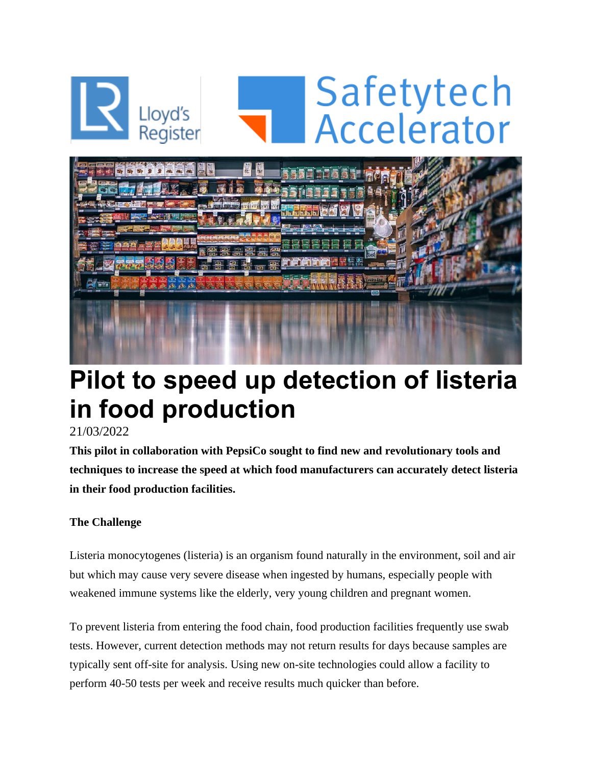

## **Pilot to speed up detection of listeria in food production**

## 21/03/2022

**This pilot in collaboration with PepsiCo sought to find new and revolutionary tools and techniques to increase the speed at which food manufacturers can accurately detect listeria in their food production facilities.** 

## **The Challenge**

Listeria monocytogenes (listeria) is an organism found naturally in the environment, soil and air but which may cause very severe disease when ingested by humans, especially people with weakened immune systems like the elderly, very young children and pregnant women.

To prevent listeria from entering the food chain, food production facilities frequently use swab tests. However, current detection methods may not return results for days because samples are typically sent off-site for analysis. Using new on-site technologies could allow a facility to perform 40-50 tests per week and receive results much quicker than before.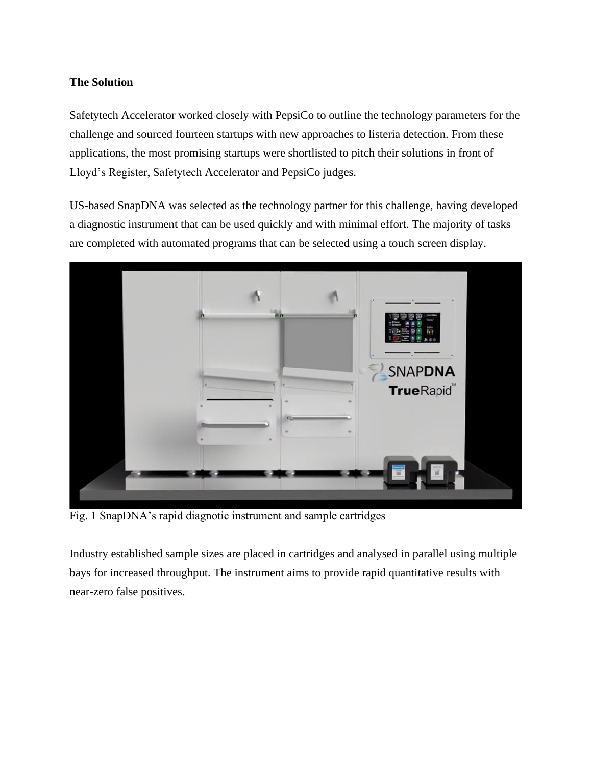### **The Solution**

Safetytech Accelerator worked closely with PepsiCo to outline the technology parameters for the challenge and sourced fourteen startups with new approaches to listeria detection. From these applications, the most promising startups were shortlisted to pitch their solutions in front of Lloyd's Register, Safetytech Accelerator and PepsiCo judges.

US-based SnapDNA was selected as the technology partner for this challenge, having developed a diagnostic instrument that can be used quickly and with minimal effort. The majority of tasks are completed with automated programs that can be selected using a touch screen display.



Fig. 1 SnapDNA's rapid diagnotic instrument and sample cartridges

Industry established sample sizes are placed in cartridges and analysed in parallel using multiple bays for increased throughput. The instrument aims to provide rapid quantitative results with near-zero false positives.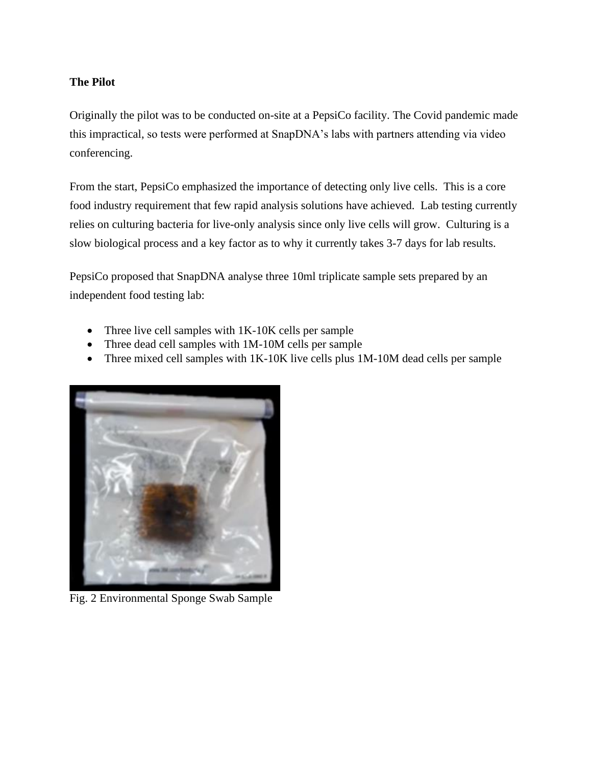### **The Pilot**

Originally the pilot was to be conducted on-site at a PepsiCo facility. The Covid pandemic made this impractical, so tests were performed at SnapDNA's labs with partners attending via video conferencing.

From the start, PepsiCo emphasized the importance of detecting only live cells. This is a core food industry requirement that few rapid analysis solutions have achieved. Lab testing currently relies on culturing bacteria for live-only analysis since only live cells will grow. Culturing is a slow biological process and a key factor as to why it currently takes 3-7 days for lab results.

PepsiCo proposed that SnapDNA analyse three 10ml triplicate sample sets prepared by an independent food testing lab:

- Three live cell samples with 1K-10K cells per sample
- Three dead cell samples with 1M-10M cells per sample
- Three mixed cell samples with 1K-10K live cells plus 1M-10M dead cells per sample



Fig. 2 Environmental Sponge Swab Sample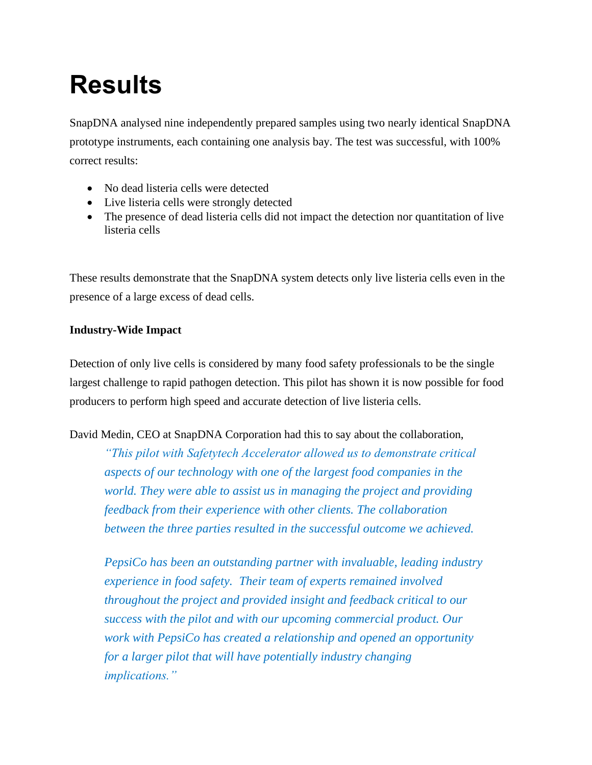# **Results**

SnapDNA analysed nine independently prepared samples using two nearly identical SnapDNA prototype instruments, each containing one analysis bay. The test was successful, with 100% correct results:

- No dead listeria cells were detected
- Live listeria cells were strongly detected
- The presence of dead listeria cells did not impact the detection nor quantitation of live listeria cells

These results demonstrate that the SnapDNA system detects only live listeria cells even in the presence of a large excess of dead cells.

## **Industry-Wide Impact**

Detection of only live cells is considered by many food safety professionals to be the single largest challenge to rapid pathogen detection. This pilot has shown it is now possible for food producers to perform high speed and accurate detection of live listeria cells.

David Medin, CEO at SnapDNA Corporation had this to say about the collaboration,

*"This pilot with Safetytech Accelerator allowed us to demonstrate critical aspects of our technology with one of the largest food companies in the world. They were able to assist us in managing the project and providing feedback from their experience with other clients. The collaboration between the three parties resulted in the successful outcome we achieved.*

*PepsiCo has been an outstanding partner with invaluable, leading industry experience in food safety. Their team of experts remained involved throughout the project and provided insight and feedback critical to our success with the pilot and with our upcoming commercial product. Our work with PepsiCo has created a relationship and opened an opportunity for a larger pilot that will have potentially industry changing implications."*